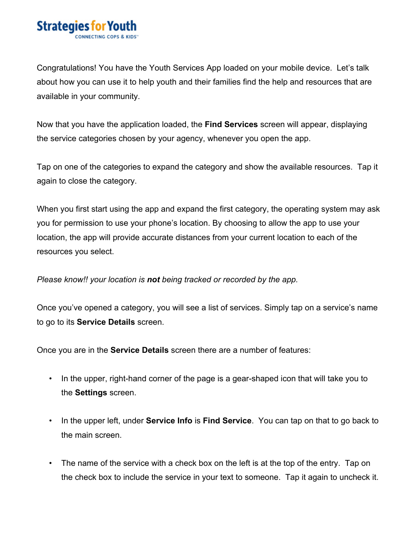

Congratulations! You have the Youth Services App loaded on your mobile device. Let's talk about how you can use it to help youth and their families find the help and resources that are available in your community.

Now that you have the application loaded, the **Find Services** screen will appear, displaying the service categories chosen by your agency, whenever you open the app.

Tap on one of the categories to expand the category and show the available resources. Tap it again to close the category.

When you first start using the app and expand the first category, the operating system may ask you for permission to use your phone's location. By choosing to allow the app to use your location, the app will provide accurate distances from your current location to each of the resources you select.

## *Please know!! your location is not being tracked or recorded by the app.*

Once you've opened a category, you will see a list of services. Simply tap on a service's name to go to its **Service Details** screen.

Once you are in the **Service Details** screen there are a number of features:

- In the upper, right-hand corner of the page is a gear-shaped icon that will take you to the **Settings** screen.
- In the upper left, under **Service Info** is **Find Service**. You can tap on that to go back to the main screen.
- The name of the service with a check box on the left is at the top of the entry. Tap on the check box to include the service in your text to someone. Tap it again to uncheck it.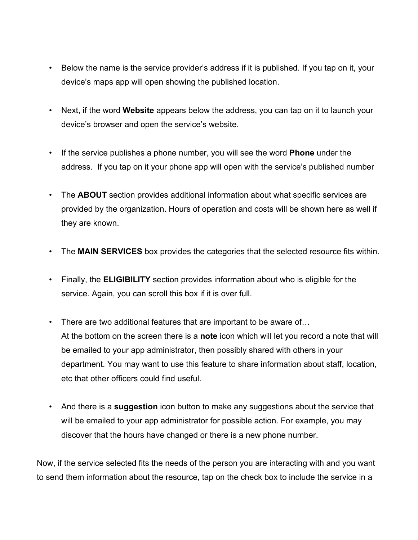- Below the name is the service provider's address if it is published. If you tap on it, your device's maps app will open showing the published location.
- Next, if the word **Website** appears below the address, you can tap on it to launch your device's browser and open the service's website.
- If the service publishes a phone number, you will see the word **Phone** under the address. If you tap on it your phone app will open with the service's published number
- The **ABOUT** section provides additional information about what specific services are provided by the organization. Hours of operation and costs will be shown here as well if they are known.
- The **MAIN SERVICES** box provides the categories that the selected resource fits within.
- Finally, the **ELIGIBILITY** section provides information about who is eligible for the service. Again, you can scroll this box if it is over full.
- There are two additional features that are important to be aware of… At the bottom on the screen there is a **note** icon which will let you record a note that will be emailed to your app administrator, then possibly shared with others in your department. You may want to use this feature to share information about staff, location, etc that other officers could find useful.
- And there is a **suggestion** icon button to make any suggestions about the service that will be emailed to your app administrator for possible action. For example, you may discover that the hours have changed or there is a new phone number.

Now, if the service selected fits the needs of the person you are interacting with and you want to send them information about the resource, tap on the check box to include the service in a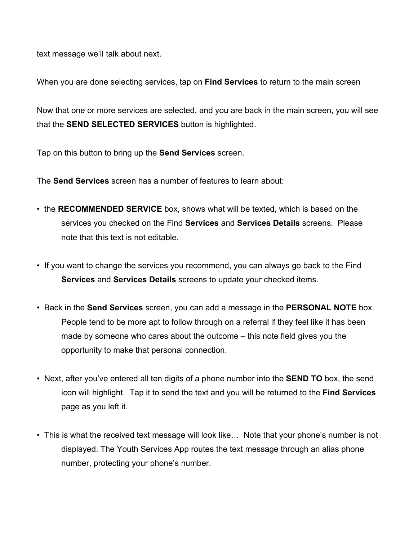text message we'll talk about next.

When you are done selecting services, tap on **Find Services** to return to the main screen

Now that one or more services are selected, and you are back in the main screen, you will see that the **SEND SELECTED SERVICES** button is highlighted.

Tap on this button to bring up the **Send Services** screen.

The **Send Services** screen has a number of features to learn about:

- the **RECOMMENDED SERVICE** box, shows what will be texted, which is based on the services you checked on the Find **Services** and **Services Details** screens. Please note that this text is not editable.
- If you want to change the services you recommend, you can always go back to the Find **Services** and **Services Details** screens to update your checked items.
- Back in the **Send Services** screen, you can add a message in the **PERSONAL NOTE** box. People tend to be more apt to follow through on a referral if they feel like it has been made by someone who cares about the outcome – this note field gives you the opportunity to make that personal connection.
- Next, after you've entered all ten digits of a phone number into the **SEND TO** box, the send icon will highlight. Tap it to send the text and you will be returned to the **Find Services** page as you left it.
- This is what the received text message will look like... Note that your phone's number is not displayed. The Youth Services App routes the text message through an alias phone number, protecting your phone's number.